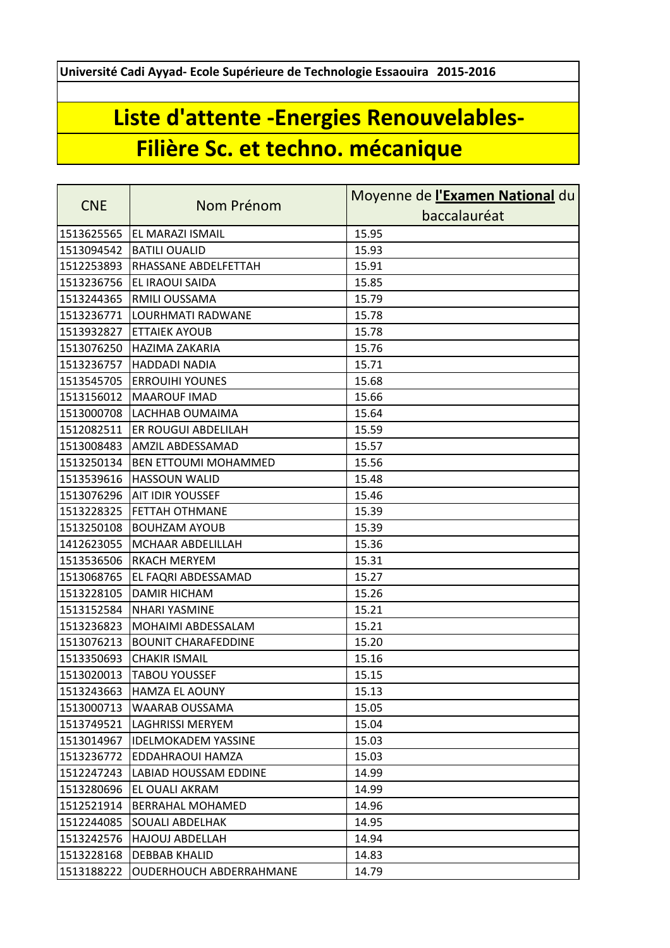**Université Cadi Ayyad- Ecole Supérieure de Technologie Essaouira 2015-2016**

## **Liste d'attente -Energies Renouvelables-Filière Sc. et techno. mécanique**

| <b>CNE</b> | Nom Prénom                     | Moyenne de l'Examen National du |
|------------|--------------------------------|---------------------------------|
|            |                                | baccalauréat                    |
| 1513625565 | <b>EL MARAZI ISMAIL</b>        | 15.95                           |
| 1513094542 | <b>BATILI OUALID</b>           | 15.93                           |
| 1512253893 | RHASSANE ABDELFETTAH           | 15.91                           |
| 1513236756 | EL IRAOUI SAIDA                | 15.85                           |
| 1513244365 | RMILI OUSSAMA                  | 15.79                           |
| 1513236771 | LOURHMATI RADWANE              | 15.78                           |
| 1513932827 | <b>ETTAIEK AYOUB</b>           | 15.78                           |
| 1513076250 | <b>HAZIMA ZAKARIA</b>          | 15.76                           |
| 1513236757 | <b>HADDADI NADIA</b>           | 15.71                           |
| 1513545705 | <b>ERROUIHI YOUNES</b>         | 15.68                           |
| 1513156012 | <b>MAAROUF IMAD</b>            | 15.66                           |
| 1513000708 | LACHHAB OUMAIMA                | 15.64                           |
| 1512082511 | ER ROUGUI ABDELILAH            | 15.59                           |
| 1513008483 | AMZIL ABDESSAMAD               | 15.57                           |
| 1513250134 | <b>BEN ETTOUMI MOHAMMED</b>    | 15.56                           |
| 1513539616 | <b>HASSOUN WALID</b>           | 15.48                           |
| 1513076296 | <b>AIT IDIR YOUSSEF</b>        | 15.46                           |
| 1513228325 | <b>FETTAH OTHMANE</b>          | 15.39                           |
| 1513250108 | <b>BOUHZAM AYOUB</b>           | 15.39                           |
| 1412623055 | <b>MCHAAR ABDELILLAH</b>       | 15.36                           |
| 1513536506 | <b>RKACH MERYEM</b>            | 15.31                           |
| 1513068765 | EL FAQRI ABDESSAMAD            | 15.27                           |
| 1513228105 | <b>DAMIR HICHAM</b>            | 15.26                           |
| 1513152584 | <b>NHARI YASMINE</b>           | 15.21                           |
| 1513236823 | MOHAIMI ABDESSALAM             | 15.21                           |
| 1513076213 | <b>BOUNIT CHARAFEDDINE</b>     | 15.20                           |
| 1513350693 | <b>CHAKIR ISMAIL</b>           | 15.16                           |
| 1513020013 | <b>TABOU YOUSSEF</b>           | 15.15                           |
|            | 1513243663 HAMZA EL AOUNY      | 15.13                           |
| 1513000713 | WAARAB OUSSAMA                 | 15.05                           |
| 1513749521 | LAGHRISSI MERYEM               | 15.04                           |
| 1513014967 | <b>IDELMOKADEM YASSINE</b>     | 15.03                           |
| 1513236772 | <b>EDDAHRAOUI HAMZA</b>        | 15.03                           |
| 1512247243 | LABIAD HOUSSAM EDDINE          | 14.99                           |
| 1513280696 | EL OUALI AKRAM                 | 14.99                           |
| 1512521914 | <b>BERRAHAL MOHAMED</b>        | 14.96                           |
| 1512244085 | <b>SOUALI ABDELHAK</b>         | 14.95                           |
| 1513242576 | <b>HAJOUJ ABDELLAH</b>         | 14.94                           |
| 1513228168 | <b>DEBBAB KHALID</b>           | 14.83                           |
| 1513188222 | <b>OUDERHOUCH ABDERRAHMANE</b> | 14.79                           |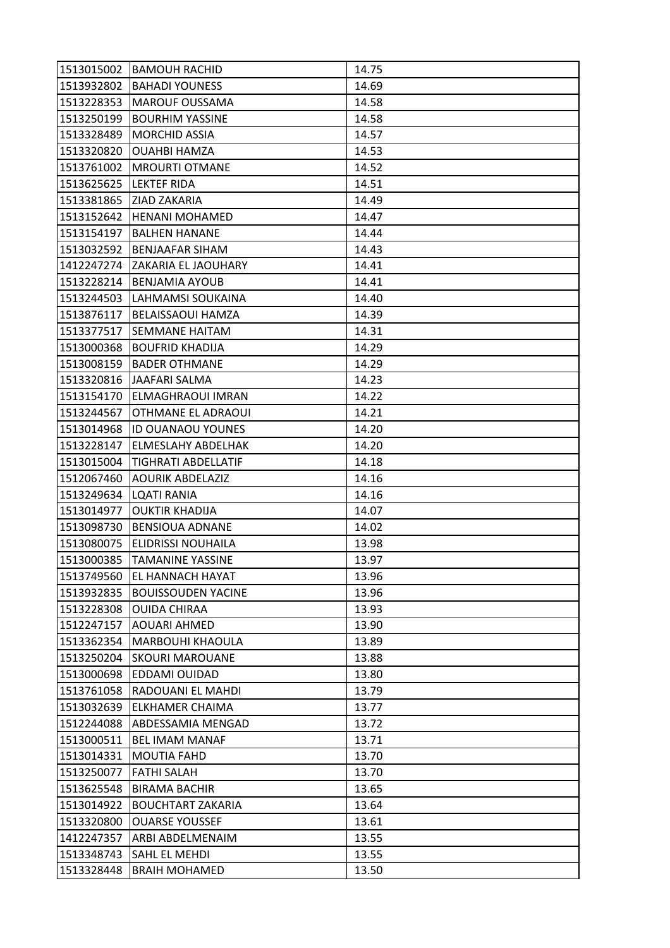| 1513015002 | <b>BAMOUH RACHID</b>        | 14.75 |
|------------|-----------------------------|-------|
| 1513932802 | <b>BAHADI YOUNESS</b>       | 14.69 |
| 1513228353 | <b>MAROUF OUSSAMA</b>       | 14.58 |
| 1513250199 | <b>BOURHIM YASSINE</b>      | 14.58 |
| 1513328489 | IMORCHID ASSIA              | 14.57 |
| 1513320820 | <b>OUAHBI HAMZA</b>         | 14.53 |
| 1513761002 | <b>MROURTI OTMANE</b>       | 14.52 |
| 1513625625 | <b>LEKTEF RIDA</b>          | 14.51 |
| 1513381865 | <b>ZIAD ZAKARIA</b>         | 14.49 |
| 1513152642 | <b>HENANI MOHAMED</b>       | 14.47 |
| 1513154197 | <b>BALHEN HANANE</b>        | 14.44 |
| 1513032592 | BENJAAFAR SIHAM             | 14.43 |
| 1412247274 | ZAKARIA EL JAOUHARY         | 14.41 |
| 1513228214 | <b>BENJAMIA AYOUB</b>       | 14.41 |
| 1513244503 | LAHMAMSI SOUKAINA           | 14.40 |
| 1513876117 | <b>BELAISSAOUI HAMZA</b>    | 14.39 |
| 1513377517 | <b>SEMMANE HAITAM</b>       | 14.31 |
| 1513000368 | <b>BOUFRID KHADIJA</b>      | 14.29 |
| 1513008159 | <b>BADER OTHMANE</b>        | 14.29 |
|            | 1513320816 JAAFARI SALMA    | 14.23 |
| 1513154170 | <b>ELMAGHRAOUI IMRAN</b>    | 14.22 |
| 1513244567 | <b>OTHMANE EL ADRAOUI</b>   | 14.21 |
| 1513014968 | <b>ID OUANAOU YOUNES</b>    | 14.20 |
| 1513228147 | <b>ELMESLAHY ABDELHAK</b>   | 14.20 |
| 1513015004 | ITIGHRATI ABDELLATIF        | 14.18 |
| 1512067460 | <b>AOURIK ABDELAZIZ</b>     | 14.16 |
| 1513249634 | LQATI RANIA                 | 14.16 |
| 1513014977 | <b>OUKTIR KHADIJA</b>       | 14.07 |
| 1513098730 | <b>BENSIOUA ADNANE</b>      | 14.02 |
| 1513080075 | <b>ELIDRISSI NOUHAILA</b>   | 13.98 |
| 1513000385 | <b>TAMANINE YASSINE</b>     | 13.97 |
|            | 1513749560 EL HANNACH HAYAT | 13.96 |
| 1513932835 | <b>BOUISSOUDEN YACINE</b>   | 13.96 |
| 1513228308 | <b>OUIDA CHIRAA</b>         | 13.93 |
| 1512247157 | <b>AOUARI AHMED</b>         | 13.90 |
| 1513362354 | <b>MARBOUHI KHAOULA</b>     | 13.89 |
| 1513250204 | <b>SKOURI MAROUANE</b>      | 13.88 |
| 1513000698 | <b>EDDAMI OUIDAD</b>        | 13.80 |
| 1513761058 | <b>RADOUANI EL MAHDI</b>    | 13.79 |
| 1513032639 | <b>ELKHAMER CHAIMA</b>      | 13.77 |
| 1512244088 | ABDESSAMIA MENGAD           | 13.72 |
| 1513000511 | <b>BEL IMAM MANAF</b>       | 13.71 |
| 1513014331 | <b>MOUTIA FAHD</b>          | 13.70 |
| 1513250077 | <b>FATHI SALAH</b>          | 13.70 |
| 1513625548 | <b>BIRAMA BACHIR</b>        | 13.65 |
| 1513014922 | <b>BOUCHTART ZAKARIA</b>    | 13.64 |
| 1513320800 | <b>OUARSE YOUSSEF</b>       | 13.61 |
| 1412247357 | <b>ARBI ABDELMENAIM</b>     | 13.55 |
| 1513348743 | <b>SAHL EL MEHDI</b>        | 13.55 |
| 1513328448 | <b>BRAIH MOHAMED</b>        | 13.50 |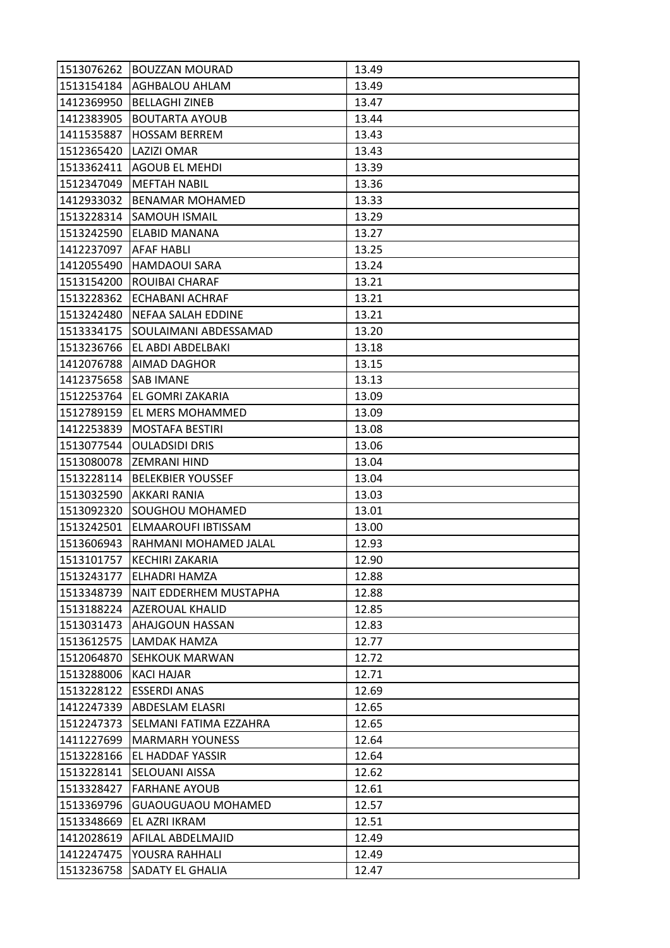|                         | 1513076262 BOUZZAN MOURAD   | 13.49 |
|-------------------------|-----------------------------|-------|
|                         | 1513154184   AGHBALOU AHLAM | 13.49 |
| 1412369950              | <b>BELLAGHI ZINEB</b>       | 13.47 |
| 1412383905              | <b>BOUTARTA AYOUB</b>       | 13.44 |
| 1411535887              | <b>HOSSAM BERREM</b>        | 13.43 |
| 1512365420              | LAZIZI OMAR                 | 13.43 |
|                         | 1513362411 AGOUB EL MEHDI   | 13.39 |
| 1512347049              | <b>MEFTAH NABIL</b>         | 13.36 |
| 1412933032              | <b>BENAMAR MOHAMED</b>      | 13.33 |
| 1513228314              | <b>SAMOUH ISMAIL</b>        | 13.29 |
| 1513242590              | <b>ELABID MANANA</b>        | 13.27 |
| 1412237097   AFAF HABLI |                             | 13.25 |
| 1412055490              | HAMDAOUI SARA               | 13.24 |
| 1513154200              | <b>ROUIBAI CHARAF</b>       | 13.21 |
| 1513228362              | <b>ECHABANI ACHRAF</b>      | 13.21 |
| 1513242480              | <b>NEFAA SALAH EDDINE</b>   | 13.21 |
| 1513334175              | SOULAIMANI ABDESSAMAD       | 13.20 |
| 1513236766              | EL ABDI ABDELBAKI           | 13.18 |
| 1412076788              | <b>AIMAD DAGHOR</b>         | 13.15 |
| 1412375658 SAB IMANE    |                             | 13.13 |
| 1512253764              | <b>EL GOMRI ZAKARIA</b>     | 13.09 |
| 1512789159              | EL MERS MOHAMMED            | 13.09 |
| 1412253839              | <b>MOSTAFA BESTIRI</b>      | 13.08 |
| 1513077544              | <b>OULADSIDI DRIS</b>       | 13.06 |
|                         | 1513080078 ZEMRANI HIND     | 13.04 |
| 1513228114              | <b>BELEKBIER YOUSSEF</b>    | 13.04 |
| 1513032590              | AKKARI RANIA                | 13.03 |
| 1513092320              | <b>SOUGHOU MOHAMED</b>      | 13.01 |
| 1513242501              | <b>ELMAAROUFI IBTISSAM</b>  | 13.00 |
| 1513606943              | RAHMANI MOHAMED JALAL       | 12.93 |
| 1513101757              | <b>KECHIRI ZAKARIA</b>      | 12.90 |
|                         | 1513243177 ELHADRI HAMZA    | 12.88 |
| 1513348739              | NAIT EDDERHEM MUSTAPHA      | 12.88 |
|                         | 1513188224 AZEROUAL KHALID  | 12.85 |
| 1513031473              | <b>AHAJGOUN HASSAN</b>      | 12.83 |
| 1513612575              | LAMDAK HAMZA                | 12.77 |
| 1512064870              | <b>ISEHKOUK MARWAN</b>      | 12.72 |
| 1513288006              | <b>KACI HAJAR</b>           | 12.71 |
| 1513228122              | <b>ESSERDI ANAS</b>         | 12.69 |
| 1412247339              | <b>ABDESLAM ELASRI</b>      | 12.65 |
| 1512247373              | ISELMANI FATIMA EZZAHRA     | 12.65 |
| 1411227699              | IMARMARH YOUNESS            | 12.64 |
| 1513228166              | <b>EL HADDAF YASSIR</b>     | 12.64 |
| 1513228141              | <b>SELOUANI AISSA</b>       | 12.62 |
| 1513328427              | <b>FARHANE AYOUB</b>        | 12.61 |
| 1513369796              | <b>GUAOUGUAOU MOHAMED</b>   | 12.57 |
| 1513348669              | EL AZRI IKRAM               | 12.51 |
| 1412028619              | AFILAL ABDELMAJID           | 12.49 |
| 1412247475              | YOUSRA RAHHALI              | 12.49 |
|                         |                             |       |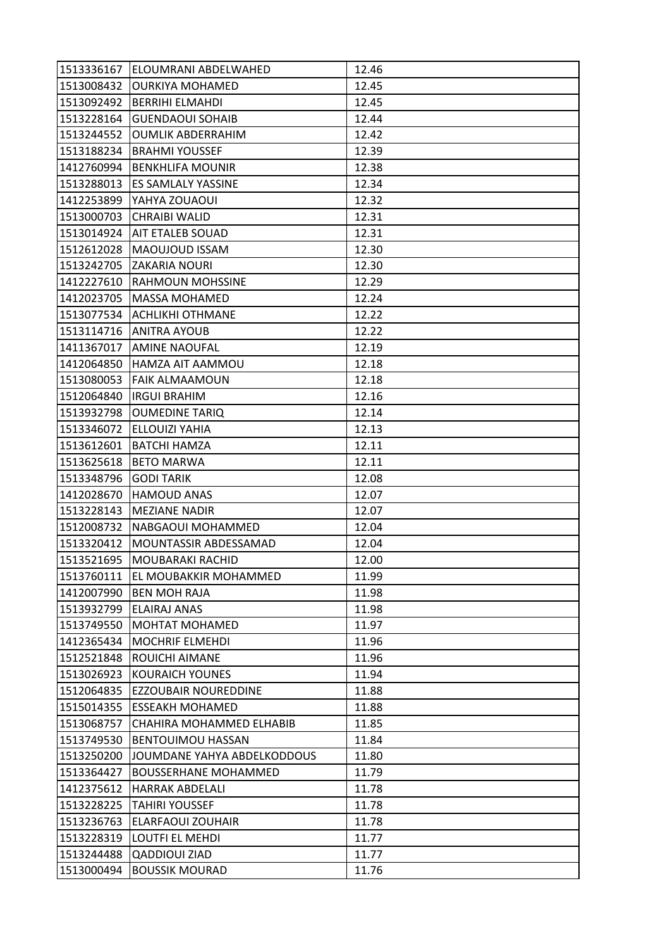| 1513336167 | IELOUMRANI ABDELWAHED       | 12.46 |
|------------|-----------------------------|-------|
| 1513008432 | <b>OURKIYA MOHAMED</b>      | 12.45 |
| 1513092492 | <b>BERRIHI ELMAHDI</b>      | 12.45 |
| 1513228164 | <b>GUENDAOUI SOHAIB</b>     | 12.44 |
| 1513244552 | <b>OUMLIK ABDERRAHIM</b>    | 12.42 |
| 1513188234 | <b>BRAHMI YOUSSEF</b>       | 12.39 |
| 1412760994 | <b>BENKHLIFA MOUNIR</b>     | 12.38 |
| 1513288013 | <b>ES SAMLALY YASSINE</b>   | 12.34 |
| 1412253899 | <b>YAHYA ZOUAOUI</b>        | 12.32 |
| 1513000703 | <b>CHRAIBI WALID</b>        | 12.31 |
| 1513014924 | <b>AIT ETALEB SOUAD</b>     | 12.31 |
| 1512612028 | MAOUJOUD ISSAM              | 12.30 |
| 1513242705 | <b>ZAKARIA NOURI</b>        | 12.30 |
| 1412227610 | <b>RAHMOUN MOHSSINE</b>     | 12.29 |
| 1412023705 | <b>MASSA MOHAMED</b>        | 12.24 |
|            | 1513077534 ACHLIKHI OTHMANE | 12.22 |
| 1513114716 | <b>ANITRA AYOUB</b>         | 12.22 |
| 1411367017 | <b>AMINE NAOUFAL</b>        | 12.19 |
| 1412064850 | HAMZA AIT AAMMOU            | 12.18 |
| 1513080053 | <b>FAIK ALMAAMOUN</b>       | 12.18 |
| 1512064840 | <b>IRGUI BRAHIM</b>         | 12.16 |
| 1513932798 | <b>OUMEDINE TARIQ</b>       | 12.14 |
| 1513346072 | <b>ELLOUIZI YAHIA</b>       | 12.13 |
| 1513612601 | <b>BATCHI HAMZA</b>         | 12.11 |
| 1513625618 | IBETO MARWA                 | 12.11 |
| 1513348796 | <b>GODI TARIK</b>           | 12.08 |
| 1412028670 | <b>HAMOUD ANAS</b>          | 12.07 |
| 1513228143 | <b>MEZIANE NADIR</b>        | 12.07 |
| 1512008732 | NABGAOUI MOHAMMED           | 12.04 |
| 1513320412 | MOUNTASSIR ABDESSAMAD       | 12.04 |
| 1513521695 | <b>MOUBARAKI RACHID</b>     | 12.00 |
| 1513760111 | EL MOUBAKKIR MOHAMMED       | 11.99 |
| 1412007990 | <b>BEN MOH RAJA</b>         | 11.98 |
| 1513932799 | <b>ELAIRAJ ANAS</b>         | 11.98 |
| 1513749550 | <b>MOHTAT MOHAMED</b>       | 11.97 |
| 1412365434 | <b>MOCHRIF ELMEHDI</b>      | 11.96 |
| 1512521848 | <b>ROUICHI AIMANE</b>       | 11.96 |
| 1513026923 | <b>KOURAICH YOUNES</b>      | 11.94 |
| 1512064835 | <b>EZZOUBAIR NOUREDDINE</b> | 11.88 |
| 1515014355 | <b>ESSEAKH MOHAMED</b>      | 11.88 |
| 1513068757 | CHAHIRA MOHAMMED ELHABIB    | 11.85 |
| 1513749530 | <b>BENTOUIMOU HASSAN</b>    | 11.84 |
| 1513250200 | JOUMDANE YAHYA ABDELKODDOUS | 11.80 |
| 1513364427 | <b>BOUSSERHANE MOHAMMED</b> | 11.79 |
| 1412375612 | <b>HARRAK ABDELALI</b>      | 11.78 |
| 1513228225 | <b>TAHIRI YOUSSEF</b>       | 11.78 |
| 1513236763 | <b>ELARFAOUI ZOUHAIR</b>    | 11.78 |
| 1513228319 | <b>LOUTFI EL MEHDI</b>      | 11.77 |
| 1513244488 | <b>QADDIOUI ZIAD</b>        | 11.77 |
| 1513000494 | <b>BOUSSIK MOURAD</b>       | 11.76 |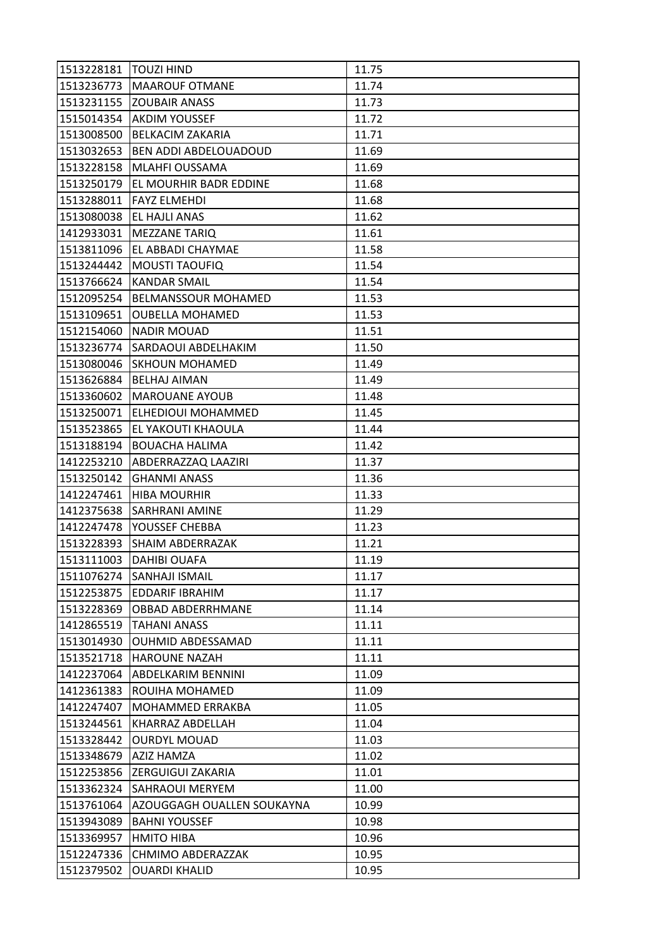| 1513228181   TOUZI HIND |                                   | 11.75 |
|-------------------------|-----------------------------------|-------|
|                         | 1513236773   MAAROUF OTMANE       | 11.74 |
|                         | 1513231155 ZOUBAIR ANASS          | 11.73 |
|                         | 1515014354 AKDIM YOUSSEF          | 11.72 |
| 1513008500              | <b>BELKACIM ZAKARIA</b>           | 11.71 |
|                         | 1513032653 BEN ADDI ABDELOUADOUD  | 11.69 |
|                         | 1513228158   MLAHFI OUSSAMA       | 11.69 |
|                         | 1513250179 EL MOURHIR BADR EDDINE | 11.68 |
| 1513288011              | <b>FAYZ ELMEHDI</b>               | 11.68 |
|                         | 1513080038 EL HAJLI ANAS          | 11.62 |
|                         | 1412933031   MEZZANE TARIQ        | 11.61 |
|                         | 1513811096 EL ABBADI CHAYMAE      | 11.58 |
| 1513244442              | <b>MOUSTI TAOUFIQ</b>             | 11.54 |
|                         | 1513766624 KANDAR SMAIL           | 11.54 |
|                         | 1512095254 BELMANSSOUR MOHAMED    | 11.53 |
|                         | 1513109651 OUBELLA MOHAMED        | 11.53 |
| 1512154060              | <b>NADIR MOUAD</b>                | 11.51 |
| 1513236774              | <b>SARDAOUI ABDELHAKIM</b>        | 11.50 |
| 1513080046              | <b>SKHOUN MOHAMED</b>             | 11.49 |
|                         | 1513626884  BELHAJ AIMAN          | 11.49 |
|                         | 1513360602   MAROUANE AYOUB       | 11.48 |
| 1513250071              | <b>ELHEDIOUI MOHAMMED</b>         | 11.45 |
| 1513523865              | <b>EL YAKOUTI KHAOULA</b>         | 11.44 |
|                         | 1513188194 BOUACHA HALIMA         | 11.42 |
|                         | 1412253210 ABDERRAZZAQ LAAZIRI    | 11.37 |
|                         | 1513250142 GHANMI ANASS           | 11.36 |
| 1412247461              | <b>HIBA MOURHIR</b>               | 11.33 |
| 1412375638              | <b>SARHRANI AMINE</b>             | 11.29 |
|                         | 1412247478   YOUSSEF CHEBBA       | 11.23 |
| 1513228393              | <b>SHAIM ABDERRAZAK</b>           | 11.21 |
| 1513111003              | <b>DAHIBI OUAFA</b>               | 11.19 |
|                         | 1511076274 SANHAJI ISMAIL         | 11.17 |
|                         | 1512253875 EDDARIF IBRAHIM        | 11.17 |
| 1513228369              | <b>IOBBAD ABDERRHMANE</b>         | 11.14 |
| 1412865519              | <b>TAHANI ANASS</b>               | 11.11 |
| 1513014930              | OUHMID ABDESSAMAD                 | 11.11 |
|                         | 1513521718 HAROUNE NAZAH          | 11.11 |
| 1412237064              | <b>ABDELKARIM BENNINI</b>         | 11.09 |
| 1412361383              | ROUIHA MOHAMED                    | 11.09 |
| 1412247407              | MOHAMMED ERRAKBA                  | 11.05 |
| 1513244561              | IKHARRAZ ABDELLAH                 | 11.04 |
| 1513328442              | <b>OURDYL MOUAD</b>               | 11.03 |
| 1513348679              | <b>AZIZ HAMZA</b>                 | 11.02 |
| 1512253856              | <b>ZERGUIGUI ZAKARIA</b>          | 11.01 |
| 1513362324              | <b>SAHRAOUI MERYEM</b>            | 11.00 |
| 1513761064              | AZOUGGAGH OUALLEN SOUKAYNA        | 10.99 |
| 1513943089              | <b>BAHNI YOUSSEF</b>              | 10.98 |
| 1513369957              | <b>HMITO HIBA</b>                 | 10.96 |
| 1512247336              | <b>CHMIMO ABDERAZZAK</b>          | 10.95 |
| 1512379502              | <b>OUARDI KHALID</b>              | 10.95 |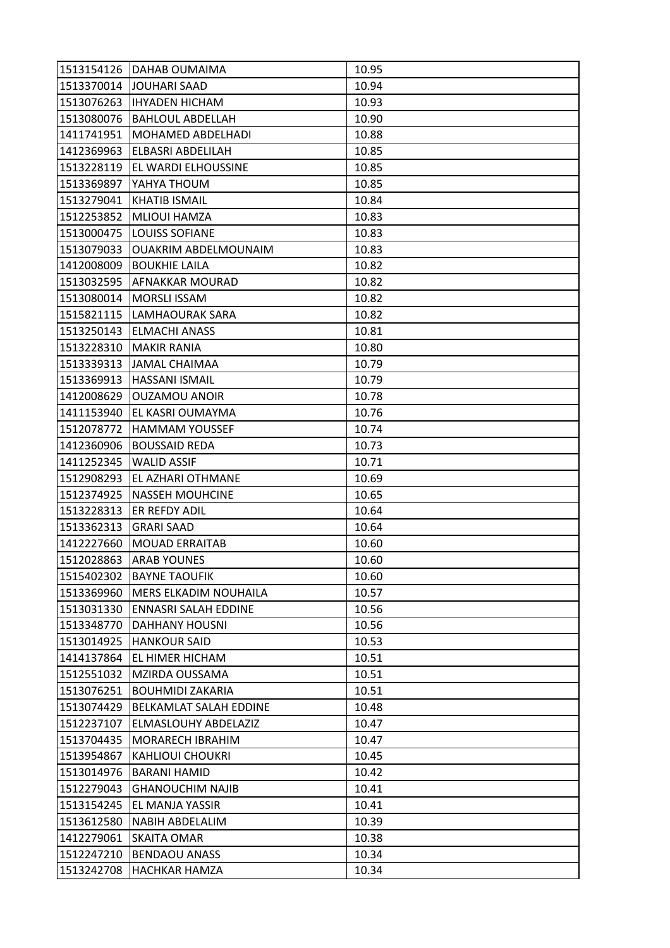|            | 1513154126   DAHAB OUMAIMA       | 10.95 |
|------------|----------------------------------|-------|
|            | 1513370014 JOUHARI SAAD          | 10.94 |
|            | 1513076263   IHYADEN HICHAM      | 10.93 |
| 1513080076 | <b>BAHLOUL ABDELLAH</b>          | 10.90 |
| 1411741951 | MOHAMED ABDELHADI                | 10.88 |
| 1412369963 | <b>ELBASRI ABDELILAH</b>         | 10.85 |
|            | 1513228119   EL WARDI ELHOUSSINE | 10.85 |
| 1513369897 | YAHYA THOUM                      | 10.85 |
| 1513279041 | <b>KHATIB ISMAIL</b>             | 10.84 |
| 1512253852 | <b>MLIOUI HAMZA</b>              | 10.83 |
|            | 1513000475   LOUISS SOFIANE      | 10.83 |
| 1513079033 | <b>OUAKRIM ABDELMOUNAIM</b>      | 10.83 |
| 1412008009 | <b>BOUKHIE LAILA</b>             | 10.82 |
|            | 1513032595 AFNAKKAR MOURAD       | 10.82 |
|            | 1513080014   MORSLI ISSAM        | 10.82 |
|            | 1515821115  LAMHAOURAK SARA      | 10.82 |
| 1513250143 | <b>ELMACHI ANASS</b>             | 10.81 |
| 1513228310 | <b>MAKIR RANIA</b>               | 10.80 |
| 1513339313 | JAMAL CHAIMAA                    | 10.79 |
| 1513369913 | <b>HASSANI ISMAIL</b>            | 10.79 |
| 1412008629 | <b>OUZAMOU ANOIR</b>             | 10.78 |
| 1411153940 | EL KASRI OUMAYMA                 | 10.76 |
| 1512078772 | <b>HAMMAM YOUSSEF</b>            | 10.74 |
| 1412360906 | <b>BOUSSAID REDA</b>             | 10.73 |
| 1411252345 | <b>WALID ASSIF</b>               | 10.71 |
| 1512908293 | EL AZHARI OTHMANE                | 10.69 |
| 1512374925 | <b>NASSEH MOUHCINE</b>           | 10.65 |
| 1513228313 | ER REFDY ADIL                    | 10.64 |
| 1513362313 | <b>GRARI SAAD</b>                | 10.64 |
| 1412227660 | <b>MOUAD ERRAITAB</b>            | 10.60 |
| 1512028863 | <b>ARAB YOUNES</b>               | 10.60 |
|            | 1515402302 BAYNE TAOUFIK         | 10.60 |
| 1513369960 | <b>MERS ELKADIM NOUHAILA</b>     | 10.57 |
| 1513031330 | <b>ENNASRI SALAH EDDINE</b>      | 10.56 |
| 1513348770 | <b>DAHHANY HOUSNI</b>            | 10.56 |
| 1513014925 | <b>HANKOUR SAID</b>              | 10.53 |
| 1414137864 | <b>EL HIMER HICHAM</b>           | 10.51 |
| 1512551032 | MZIRDA OUSSAMA                   | 10.51 |
| 1513076251 | <b>BOUHMIDI ZAKARIA</b>          | 10.51 |
| 1513074429 | <b>BELKAMLAT SALAH EDDINE</b>    | 10.48 |
| 1512237107 | ELMASLOUHY ABDELAZIZ             | 10.47 |
| 1513704435 | <b>MORARECH IBRAHIM</b>          | 10.47 |
| 1513954867 | <b>KAHLIOUI CHOUKRI</b>          | 10.45 |
| 1513014976 | <b>BARANI HAMID</b>              | 10.42 |
| 1512279043 | <b>GHANOUCHIM NAJIB</b>          | 10.41 |
| 1513154245 | <b>EL MANJA YASSIR</b>           | 10.41 |
| 1513612580 | <b>NABIH ABDELALIM</b>           | 10.39 |
| 1412279061 | <b>SKAITA OMAR</b>               | 10.38 |
| 1512247210 | <b>BENDAOU ANASS</b>             | 10.34 |
| 1513242708 | <b>HACHKAR HAMZA</b>             | 10.34 |